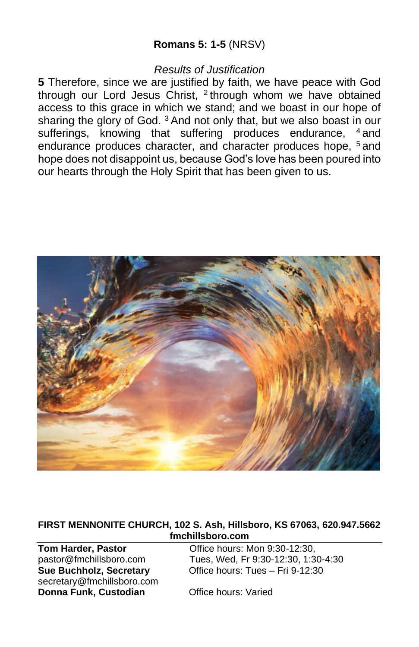## **Romans 5: 1-5** (NRSV)

### *Results of Justification*

**5** Therefore, since we are justified by faith, we have peace with God through our Lord Jesus Christ, <sup>2</sup> through whom we have obtained access to this grace in which we stand; and we boast in our hope of sharing the glory of God.<sup>3</sup> And not only that, but we also boast in our sufferings, knowing that suffering produces endurance, <sup>4</sup> and endurance produces character, and character produces hope, <sup>5</sup> and hope does not disappoint us, because God's love has been poured into our hearts through the Holy Spirit that has been given to us.



#### **FIRST MENNONITE CHURCH, 102 S. Ash, Hillsboro, KS 67063, 620.947.5662 fmchillsboro.com**

secretary@fmchillsboro.com **Donna Funk, Custodian Office hours: Varied** 

**Tom Harder, Pastor Office hours: Mon 9:30-12:30,** pastor@fmchillsboro.com Tues, Wed, Fr 9:30-12:30, 1:30-4:30 **Sue Buchholz, Secretary** Office hours: Tues – Fri 9-12:30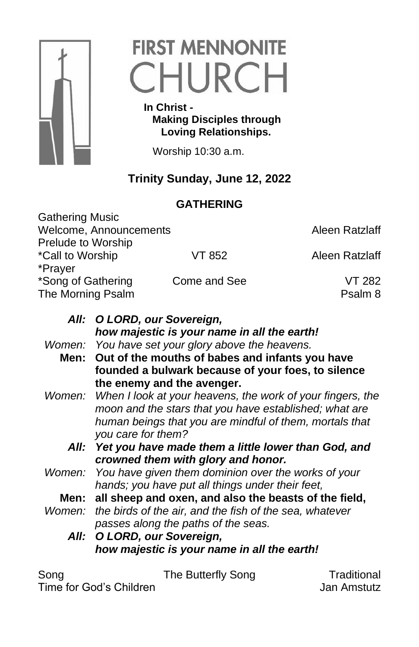

# **FIRST MENNONITE** CHURCH

 **In Christ - Making Disciples through Loving Relationships.**

Worship 10:30 a.m.

# **Trinity Sunday, June 12, 2022**

# **GATHERING**

| <b>Gathering Music</b> |              |                |
|------------------------|--------------|----------------|
| Welcome, Announcements |              | Aleen Ratzlaff |
| Prelude to Worship     |              |                |
| *Call to Worship       | VT 852       | Aleen Ratzlaff |
| *Prayer                |              |                |
| *Song of Gathering     | Come and See | VT 282         |
| The Morning Psalm      |              | Psalm 8        |
|                        |              |                |

|        | All: O LORD, our Sovereign,                                       |
|--------|-------------------------------------------------------------------|
|        | how majestic is your name in all the earth!                       |
|        | Women: You have set your glory above the heavens.                 |
|        | Men: Out of the mouths of babes and infants you have              |
|        | founded a bulwark because of your foes, to silence                |
|        | the enemy and the avenger.                                        |
|        | Women: When I look at your heavens, the work of your fingers, the |
|        | moon and the stars that you have established; what are            |
|        | human beings that you are mindful of them, mortals that           |
|        | you care for them?                                                |
|        | All: Yet you have made them a little lower than God, and          |
|        | crowned them with glory and honor.                                |
|        | Women: You have given them dominion over the works of your        |
|        | hands; you have put all things under their feet,                  |
|        | Men: all sheep and oxen, and also the beasts of the field,        |
| Women: | the birds of the air, and the fish of the sea, whatever           |
|        | passes along the paths of the seas.                               |
|        | All: O LORD, our Sovereign,                                       |
|        | how majestic is your name in all the earth!                       |
|        |                                                                   |
|        |                                                                   |

Time for God's Children **Jan Amstutz** 

Song The Butterfly Song Traditional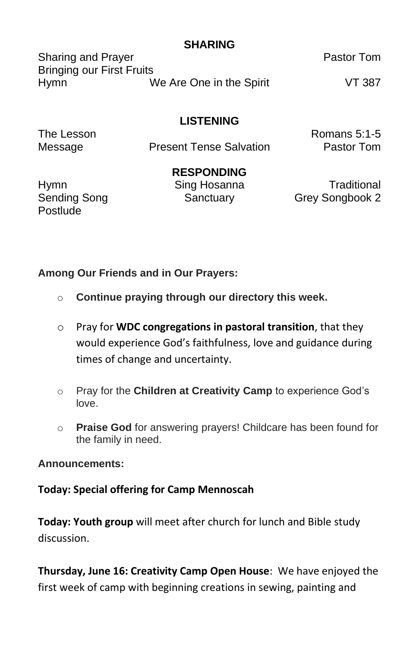# **SHARING**

Sharing and Prayer **Pastor Tom** Bringing our First Fruits Hymn We Are One in the Spirit VT 387

# **LISTENING**

Message **Present Tense Salvation** Pastor Tom

The Lesson Romans 5:1-5

**RESPONDING**

Postlude

Hymn Sing Hosanna Traditional Sending Song Sanctuary Grey Songbook 2

**Among Our Friends and in Our Prayers:** 

- o **Continue praying through our directory this week.**
- o Pray for **WDC congregations in pastoral transition**, that they would experience God's faithfulness, love and guidance during times of change and uncertainty.
- o Pray for the **Children at Creativity Camp** to experience God's love.
- o **Praise God** for answering prayers! Childcare has been found for the family in need.

## **Announcements:**

**Today: Special offering for Camp Mennoscah**

**Today: Youth group** will meet after church for lunch and Bible study discussion.

**Thursday, June 16: Creativity Camp Open House**: We have enjoyed the first week of camp with beginning creations in sewing, painting and